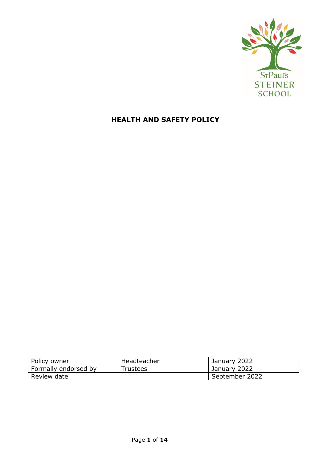

# **HEALTH AND SAFETY POLICY**

| Policy owner         | Headteacher | January 2022   |
|----------------------|-------------|----------------|
| Formally endorsed by | Trustees    | January 2022   |
| Review date          |             | September 2022 |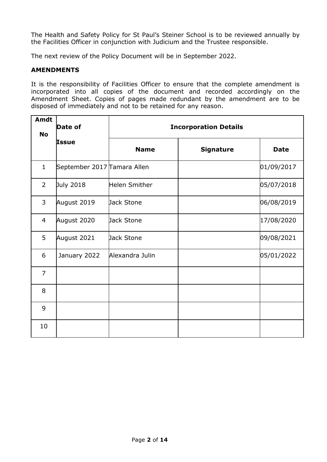The Health and Safety Policy for St Paul's Steiner School is to be reviewed annually by the Facilities Officer in conjunction with Judicium and the Trustee responsible.

The next review of the Policy Document will be in September 2022.

## **AMENDMENTS**

It is the responsibility of Facilities Officer to ensure that the complete amendment is incorporated into all copies of the document and recorded accordingly on the Amendment Sheet. Copies of pages made redundant by the amendment are to be disposed of immediately and not to be retained for any reason.

| Amdt<br><b>No</b> | Date of                     | <b>Incorporation Details</b> |                  |             |  |
|-------------------|-----------------------------|------------------------------|------------------|-------------|--|
| <b>Issue</b>      |                             | <b>Name</b>                  | <b>Signature</b> | <b>Date</b> |  |
| $\mathbf{1}$      | September 2017 Tamara Allen |                              |                  | 01/09/2017  |  |
| $\overline{2}$    | July 2018                   | <b>Helen Smither</b>         |                  | 05/07/2018  |  |
| 3                 | August 2019                 | Jack Stone                   |                  | 06/08/2019  |  |
| $\overline{4}$    | August 2020                 | Jack Stone                   |                  | 17/08/2020  |  |
| 5                 | August 2021                 | Jack Stone                   |                  | 09/08/2021  |  |
| 6                 | January 2022                | Alexandra Julin              |                  | 05/01/2022  |  |
| $\overline{7}$    |                             |                              |                  |             |  |
| 8                 |                             |                              |                  |             |  |
| 9                 |                             |                              |                  |             |  |
| 10                |                             |                              |                  |             |  |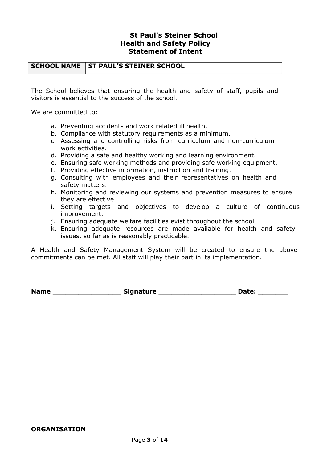## **St Paul's Steiner School Health and Safety Policy Statement of Intent**

#### **SCHOOL NAME** ST PAUL'S STEINER SCHOOL

The School believes that ensuring the health and safety of staff, pupils and visitors is essential to the success of the school.

We are committed to:

- a. Preventing accidents and work related ill health.
- b. Compliance with statutory requirements as a minimum.
- c. Assessing and controlling risks from curriculum and non-curriculum work activities.
- d. Providing a safe and healthy working and learning environment.
- e. Ensuring safe working methods and providing safe working equipment.
- f. Providing effective information, instruction and training.
- g. Consulting with employees and their representatives on health and safety matters.
- h. Monitoring and reviewing our systems and prevention measures to ensure they are effective.
- i. Setting targets and objectives to develop a culture of continuous improvement.
- j. Ensuring adequate welfare facilities exist throughout the school.
- k. Ensuring adequate resources are made available for health and safety issues, so far as is reasonably practicable.

A Health and Safety Management System will be created to ensure the above commitments can be met. All staff will play their part in its implementation.

**Name \_\_\_\_\_\_\_\_\_\_\_\_\_\_\_\_ Signature \_\_\_\_\_\_\_\_\_\_\_\_\_\_\_\_\_\_ Date: \_\_\_\_\_\_\_**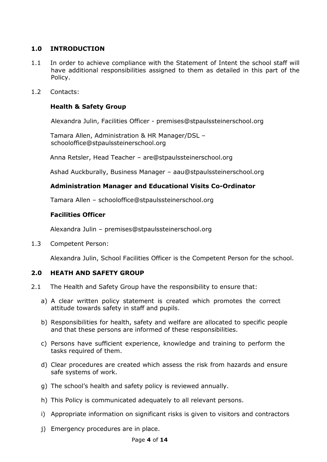## **1.0 INTRODUCTION**

- 1.1 In order to achieve compliance with the Statement of Intent the school staff will have additional responsibilities assigned to them as detailed in this part of the Policy.
- 1.2 Contacts:

## **Health & Safety Group**

Alexandra Julin, Facilities Officer - premises@stpaulssteinerschool.org

Tamara Allen, Administration & HR Manager/DSL – schooloffice@stpaulssteinerschool.org

Anna Retsler, Head Teacher – [are@stpaulssteinerschool.org](mailto:are@stpaulssteinerschool.org)

Ashad Auckburally, Business Manager – aau@stpaulssteinerschool.org

## **Administration Manager and Educational Visits Co-Ordinator**

Tamara Allen – schooloffice@stpaulssteinerschool.org

### **Facilities Officer**

Alexandra Julin – premises@stpaulssteinerschool.org

1.3 Competent Person:

Alexandra Julin, School Facilities Officer is the Competent Person for the school.

## **2.0 HEATH AND SAFETY GROUP**

- 2.1 The Health and Safety Group have the responsibility to ensure that:
	- a) A clear written policy statement is created which promotes the correct attitude towards safety in staff and pupils.
	- b) Responsibilities for health, safety and welfare are allocated to specific people and that these persons are informed of these responsibilities.
	- c) Persons have sufficient experience, knowledge and training to perform the tasks required of them.
	- d) Clear procedures are created which assess the risk from hazards and ensure safe systems of work.
	- g) The school's health and safety policy is reviewed annually.
	- h) This Policy is communicated adequately to all relevant persons.
	- i) Appropriate information on significant risks is given to visitors and contractors
	- j) Emergency procedures are in place.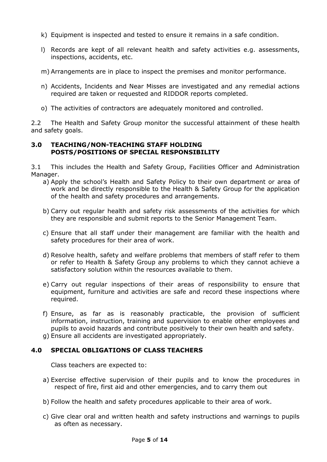- k) Equipment is inspected and tested to ensure it remains in a safe condition.
- l) Records are kept of all relevant health and safety activities e.g. assessments, inspections, accidents, etc.
- m) Arrangements are in place to inspect the premises and monitor performance.
- n) Accidents, Incidents and Near Misses are investigated and any remedial actions required are taken or requested and RIDDOR reports completed.
- o) The activities of contractors are adequately monitored and controlled.

2.2 The Health and Safety Group monitor the successful attainment of these health and safety goals.

### **3.0 TEACHING/NON-TEACHING STAFF HOLDING POSTS/POSITIONS OF SPECIAL RESPONSIBILITY**

3.1 This includes the Health and Safety Group, Facilities Officer and Administration Manager.

- a) Apply the school's Health and Safety Policy to their own department or area of work and be directly responsible to the Health & Safety Group for the application of the health and safety procedures and arrangements.
- b) Carry out regular health and safety risk assessments of the activities for which they are responsible and submit reports to the Senior Management Team.
- c) Ensure that all staff under their management are familiar with the health and safety procedures for their area of work.
- d) Resolve health, safety and welfare problems that members of staff refer to them or refer to Health & Safety Group any problems to which they cannot achieve a satisfactory solution within the resources available to them.
- e) Carry out regular inspections of their areas of responsibility to ensure that equipment, furniture and activities are safe and record these inspections where required.
- f) Ensure, as far as is reasonably practicable, the provision of sufficient information, instruction, training and supervision to enable other employees and pupils to avoid hazards and contribute positively to their own health and safety.
- g) Ensure all accidents are investigated appropriately.

## **4.0 SPECIAL OBLIGATIONS OF CLASS TEACHERS**

Class teachers are expected to:

- a) Exercise effective supervision of their pupils and to know the procedures in respect of fire, first aid and other emergencies, and to carry them out
- b) Follow the health and safety procedures applicable to their area of work.
- c) Give clear oral and written health and safety instructions and warnings to pupils as often as necessary.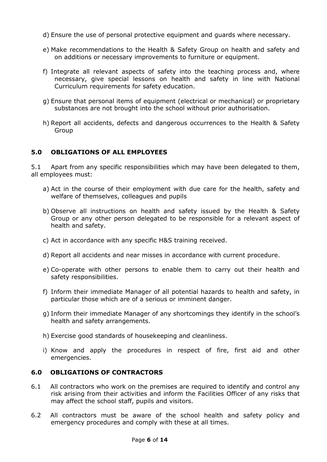- d) Ensure the use of personal protective equipment and guards where necessary.
- e) Make recommendations to the Health & Safety Group on health and safety and on additions or necessary improvements to furniture or equipment.
- f) Integrate all relevant aspects of safety into the teaching process and, where necessary, give special lessons on health and safety in line with National Curriculum requirements for safety education.
- g) Ensure that personal items of equipment (electrical or mechanical) or proprietary substances are not brought into the school without prior authorisation.
- h) Report all accidents, defects and dangerous occurrences to the Health & Safety Group

## **5.0 OBLIGATIONS OF ALL EMPLOYEES**

5.1 Apart from any specific responsibilities which may have been delegated to them, all employees must:

- a) Act in the course of their employment with due care for the health, safety and welfare of themselves, colleagues and pupils
- b) Observe all instructions on health and safety issued by the Health & Safety Group or any other person delegated to be responsible for a relevant aspect of health and safety.
- c) Act in accordance with any specific H&S training received.
- d) Report all accidents and near misses in accordance with current procedure.
- e) Co-operate with other persons to enable them to carry out their health and safety responsibilities.
- f) Inform their immediate Manager of all potential hazards to health and safety, in particular those which are of a serious or imminent danger.
- g) Inform their immediate Manager of any shortcomings they identify in the school's health and safety arrangements.
- h) Exercise good standards of housekeeping and cleanliness.
- i) Know and apply the procedures in respect of fire, first aid and other emergencies.

## **6.0 OBLIGATIONS OF CONTRACTORS**

- 6.1 All contractors who work on the premises are required to identify and control any risk arising from their activities and inform the Facilities Officer of any risks that may affect the school staff, pupils and visitors.
- 6.2 All contractors must be aware of the school health and safety policy and emergency procedures and comply with these at all times.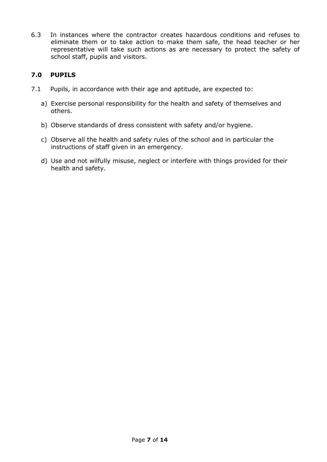6.3 In instances where the contractor creates hazardous conditions and refuses to eliminate them or to take action to make them safe, the head teacher or her representative will take such actions as are necessary to protect the safety of school staff, pupils and visitors.

## **7.0 PUPILS**

- 7.1 Pupils, in accordance with their age and aptitude, are expected to:
	- a) Exercise personal responsibility for the health and safety of themselves and others.
	- b) Observe standards of dress consistent with safety and/or hygiene.
	- c) Observe all the health and safety rules of the school and in particular the instructions of staff given in an emergency.
	- d) Use and not wilfully misuse, neglect or interfere with things provided for their health and safety.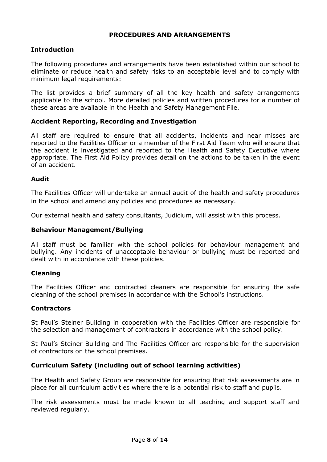## **PROCEDURES AND ARRANGEMENTS**

## **Introduction**

The following procedures and arrangements have been established within our school to eliminate or reduce health and safety risks to an acceptable level and to comply with minimum legal requirements:

The list provides a brief summary of all the key health and safety arrangements applicable to the school. More detailed policies and written procedures for a number of these areas are available in the Health and Safety Management File.

## **Accident Reporting, Recording and Investigation**

All staff are required to ensure that all accidents, incidents and near misses are reported to the Facilities Officer or a member of the First Aid Team who will ensure that the accident is investigated and reported to the Health and Safety Executive where appropriate. The First Aid Policy provides detail on the actions to be taken in the event of an accident.

#### **Audit**

The Facilities Officer will undertake an annual audit of the health and safety procedures in the school and amend any policies and procedures as necessary.

Our external health and safety consultants, Judicium, will assist with this process.

### **Behaviour Management/Bullying**

All staff must be familiar with the school policies for behaviour management and bullying. Any incidents of unacceptable behaviour or bullying must be reported and dealt with in accordance with these policies.

#### **Cleaning**

The Facilities Officer and contracted cleaners are responsible for ensuring the safe cleaning of the school premises in accordance with the School's instructions.

#### **Contractors**

St Paul's Steiner Building in cooperation with the Facilities Officer are responsible for the selection and management of contractors in accordance with the school policy.

St Paul's Steiner Building and The Facilities Officer are responsible for the supervision of contractors on the school premises.

#### **Curriculum Safety (including out of school learning activities)**

The Health and Safety Group are responsible for ensuring that risk assessments are in place for all curriculum activities where there is a potential risk to staff and pupils.

The risk assessments must be made known to all teaching and support staff and reviewed regularly.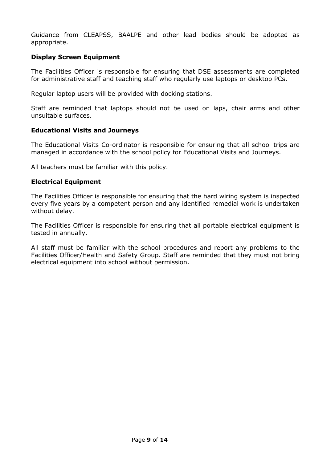Guidance from CLEAPSS, BAALPE and other lead bodies should be adopted as appropriate.

## **Display Screen Equipment**

The Facilities Officer is responsible for ensuring that DSE assessments are completed for administrative staff and teaching staff who regularly use laptops or desktop PCs.

Regular laptop users will be provided with docking stations.

Staff are reminded that laptops should not be used on laps, chair arms and other unsuitable surfaces.

### **Educational Visits and Journeys**

The Educational Visits Co-ordinator is responsible for ensuring that all school trips are managed in accordance with the school policy for Educational Visits and Journeys.

All teachers must be familiar with this policy.

## **Electrical Equipment**

The Facilities Officer is responsible for ensuring that the hard wiring system is inspected every five years by a competent person and any identified remedial work is undertaken without delay.

The Facilities Officer is responsible for ensuring that all portable electrical equipment is tested in annually.

All staff must be familiar with the school procedures and report any problems to the Facilities Officer/Health and Safety Group. Staff are reminded that they must not bring electrical equipment into school without permission.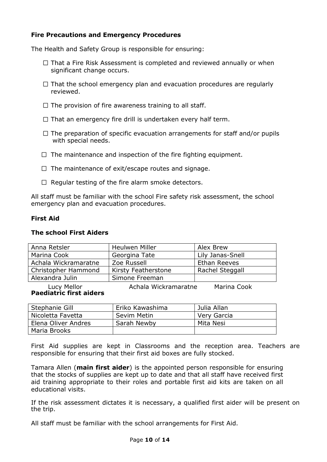## **Fire Precautions and Emergency Procedures**

The Health and Safety Group is responsible for ensuring:

- $\Box$  That a Fire Risk Assessment is completed and reviewed annually or when significant change occurs.
- $\Box$  That the school emergency plan and evacuation procedures are regularly reviewed.
- $\Box$  The provision of fire awareness training to all staff.
- $\Box$  That an emergency fire drill is undertaken every half term.
- $\Box$  The preparation of specific evacuation arrangements for staff and/or pupils with special needs.
- $\Box$  The maintenance and inspection of the fire fighting equipment.
- $\Box$  The maintenance of exit/escape routes and signage.
- $\Box$  Regular testing of the fire alarm smoke detectors.

All staff must be familiar with the school Fire safety risk assessment, the school emergency plan and evacuation procedures.

## **First Aid**

#### **The school First Aiders**

| Anna Retsler         | <b>Heulwen Miller</b> | Alex Brew        |
|----------------------|-----------------------|------------------|
| Marina Cook          | Georgina Tate         | Lily Janas-Snell |
| Achala Wickramaratne | Zoe Russell           | Ethan Reeves     |
| Christopher Hammond  | Kirsty Featherstone   | Rachel Steggall  |
| Alexandra Julin      | Simone Freeman        |                  |

Lucy Mellor **Achala Wickramaratne** Marina Cook **Paediatric first aiders**

| Stephanie Gill      | Eriko Kawashima | Julia Allan |
|---------------------|-----------------|-------------|
| Nicoletta Favetta   | Sevim Metin     | Very Garcia |
| Elena Oliver Andres | Sarah Newby     | Mita Nesi   |
| Maria Brooks        |                 |             |

First Aid supplies are kept in Classrooms and the reception area. Teachers are responsible for ensuring that their first aid boxes are fully stocked.

Tamara Allen (**main first aider**) is the appointed person responsible for ensuring that the stocks of supplies are kept up to date and that all staff have received first aid training appropriate to their roles and portable first aid kits are taken on all educational visits.

If the risk assessment dictates it is necessary, a qualified first aider will be present on the trip.

All staff must be familiar with the school arrangements for First Aid.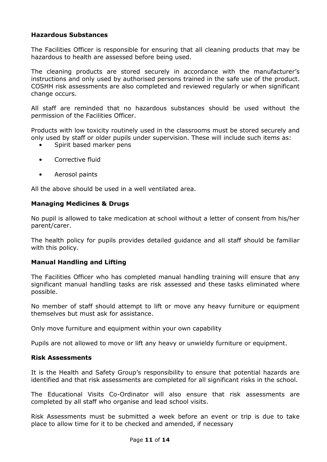## **Hazardous Substances**

The Facilities Officer is responsible for ensuring that all cleaning products that may be hazardous to health are assessed before being used.

The cleaning products are stored securely in accordance with the manufacturer's instructions and only used by authorised persons trained in the safe use of the product. COSHH risk assessments are also completed and reviewed regularly or when significant change occurs.

All staff are reminded that no hazardous substances should be used without the permission of the Facilities Officer.

Products with low toxicity routinely used in the classrooms must be stored securely and only used by staff or older pupils under supervision. These will include such items as:

- Spirit based marker pens
- Corrective fluid
- Aerosol paints

All the above should be used in a well ventilated area.

#### **Managing Medicines & Drugs**

No pupil is allowed to take medication at school without a letter of consent from his/her parent/carer.

The health policy for pupils provides detailed guidance and all staff should be familiar with this policy.

## **Manual Handling and Lifting**

The Facilities Officer who has completed manual handling training will ensure that any significant manual handling tasks are risk assessed and these tasks eliminated where possible.

No member of staff should attempt to lift or move any heavy furniture or equipment themselves but must ask for assistance.

Only move furniture and equipment within your own capability

Pupils are not allowed to move or lift any heavy or unwieldy furniture or equipment.

### **Risk Assessments**

It is the Health and Safety Group's responsibility to ensure that potential hazards are identified and that risk assessments are completed for all significant risks in the school.

The Educational Visits Co-Ordinator will also ensure that risk assessments are completed by all staff who organise and lead school visits.

Risk Assessments must be submitted a week before an event or trip is due to take place to allow time for it to be checked and amended, if necessary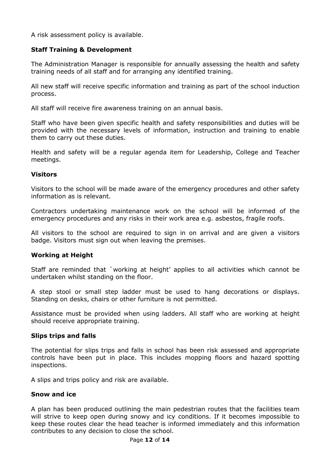A risk assessment policy is available.

## **Staff Training & Development**

The Administration Manager is responsible for annually assessing the health and safety training needs of all staff and for arranging any identified training.

All new staff will receive specific information and training as part of the school induction process.

All staff will receive fire awareness training on an annual basis.

Staff who have been given specific health and safety responsibilities and duties will be provided with the necessary levels of information, instruction and training to enable them to carry out these duties.

Health and safety will be a regular agenda item for Leadership, College and Teacher meetings.

### **Visitors**

Visitors to the school will be made aware of the emergency procedures and other safety information as is relevant.

Contractors undertaking maintenance work on the school will be informed of the emergency procedures and any risks in their work area e.g. asbestos, fragile roofs.

All visitors to the school are required to sign in on arrival and are given a visitors badge. Visitors must sign out when leaving the premises.

## **Working at Height**

Staff are reminded that `working at height' applies to all activities which cannot be undertaken whilst standing on the floor.

A step stool or small step ladder must be used to hang decorations or displays. Standing on desks, chairs or other furniture is not permitted.

Assistance must be provided when using ladders. All staff who are working at height should receive appropriate training.

#### **Slips trips and falls**

The potential for slips trips and falls in school has been risk assessed and appropriate controls have been put in place. This includes mopping floors and hazard spotting inspections.

A slips and trips policy and risk are available.

#### **Snow and ice**

A plan has been produced outlining the main pedestrian routes that the facilities team will strive to keep open during snowy and icy conditions. If it becomes impossible to keep these routes clear the head teacher is informed immediately and this information contributes to any decision to close the school.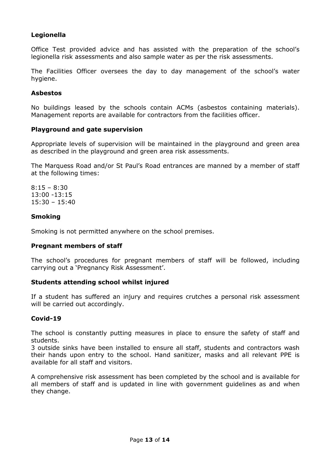## **Legionella**

Office Test provided advice and has assisted with the preparation of the school's legionella risk assessments and also sample water as per the risk assessments.

The Facilities Officer oversees the day to day management of the school's water hygiene.

### **Asbestos**

No buildings leased by the schools contain ACMs (asbestos containing materials). Management reports are available for contractors from the facilities officer.

### **Playground and gate supervision**

Appropriate levels of supervision will be maintained in the playground and green area as described in the playground and green area risk assessments.

The Marquess Road and/or St Paul's Road entrances are manned by a member of staff at the following times:

8:15 – 8:30 13:00 -13:15 15:30 – 15:40

### **Smoking**

Smoking is not permitted anywhere on the school premises.

#### **Pregnant members of staff**

The school's procedures for pregnant members of staff will be followed, including carrying out a 'Pregnancy Risk Assessment'.

#### **Students attending school whilst injured**

If a student has suffered an injury and requires crutches a personal risk assessment will be carried out accordingly.

#### **Covid-19**

The school is constantly putting measures in place to ensure the safety of staff and students.

3 outside sinks have been installed to ensure all staff, students and contractors wash their hands upon entry to the school. Hand sanitizer, masks and all relevant PPE is available for all staff and visitors.

A comprehensive risk assessment has been completed by the school and is available for all members of staff and is updated in line with government guidelines as and when they change.